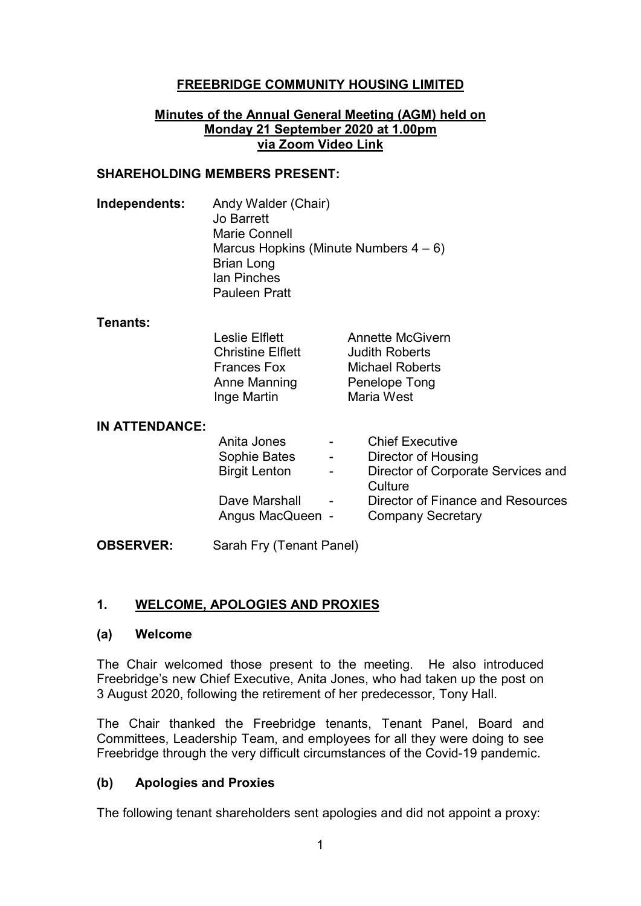## **FREEBRIDGE COMMUNITY HOUSING LIMITED**

#### **Minutes of the Annual General Meeting (AGM) held on Monday 21 September 2020 at 1.00pm via Zoom Video Link**

### **SHAREHOLDING MEMBERS PRESENT:**

**Independents:** Andy Walder (Chair) Jo Barrett Marie Connell Marcus Hopkins (Minute Numbers  $4-6$ ) Brian Long Ian Pinches Pauleen Pratt

#### **Tenants:**

| <b>Leslie Elflett</b>    | <b>Annette McGivern</b> |
|--------------------------|-------------------------|
| <b>Christine Elflett</b> | <b>Judith Roberts</b>   |
| <b>Frances Fox</b>       | <b>Michael Roberts</b>  |
| Anne Manning             | Penelope Tong           |
| Inge Martin              | Maria West              |

#### **IN ATTENDANCE:**

| Anita Jones          |   | <b>Chief Executive</b>             |
|----------------------|---|------------------------------------|
| Sophie Bates         |   | Director of Housing                |
| <b>Birgit Lenton</b> | - | Director of Corporate Services and |
|                      |   | Culture                            |
| Dave Marshall        |   | Director of Finance and Resources  |
| Angus MacQueen -     |   | <b>Company Secretary</b>           |
|                      |   |                                    |

**OBSERVER:** Sarah Fry (Tenant Panel)

### **1. WELCOME, APOLOGIES AND PROXIES**

#### **(a) Welcome**

The Chair welcomed those present to the meeting. He also introduced Freebridge's new Chief Executive, Anita Jones, who had taken up the post on 3 August 2020, following the retirement of her predecessor, Tony Hall.

The Chair thanked the Freebridge tenants, Tenant Panel, Board and Committees, Leadership Team, and employees for all they were doing to see Freebridge through the very difficult circumstances of the Covid-19 pandemic.

### **(b) Apologies and Proxies**

The following tenant shareholders sent apologies and did not appoint a proxy: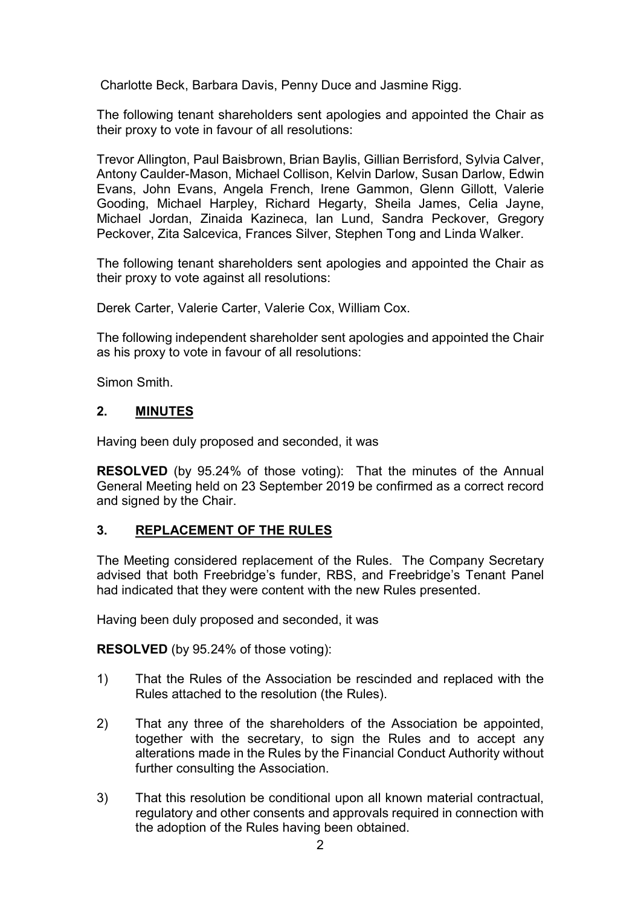Charlotte Beck, Barbara Davis, Penny Duce and Jasmine Rigg.

The following tenant shareholders sent apologies and appointed the Chair as their proxy to vote in favour of all resolutions:

Trevor Allington, Paul Baisbrown, Brian Baylis, Gillian Berrisford, Sylvia Calver, Antony Caulder-Mason, Michael Collison, Kelvin Darlow, Susan Darlow, Edwin Evans, John Evans, Angela French, Irene Gammon, Glenn Gillott, Valerie Gooding, Michael Harpley, Richard Hegarty, Sheila James, Celia Jayne, Michael Jordan, Zinaida Kazineca, Ian Lund, Sandra Peckover, Gregory Peckover, Zita Salcevica, Frances Silver, Stephen Tong and Linda Walker.

The following tenant shareholders sent apologies and appointed the Chair as their proxy to vote against all resolutions:

Derek Carter, Valerie Carter, Valerie Cox, William Cox.

The following independent shareholder sent apologies and appointed the Chair as his proxy to vote in favour of all resolutions:

Simon Smith.

### **2. MINUTES**

Having been duly proposed and seconded, it was

**RESOLVED** (by 95.24% of those voting):That the minutes of the Annual General Meeting held on 23 September 2019 be confirmed as a correct record and signed by the Chair.

### **3. REPLACEMENT OF THE RULES**

The Meeting considered replacement of the Rules. The Company Secretary advised that both Freebridge's funder, RBS, and Freebridge's Tenant Panel had indicated that they were content with the new Rules presented.

Having been duly proposed and seconded, it was

**RESOLVED** (by 95.24% of those voting):

- 1) That the Rules of the Association be rescinded and replaced with the Rules attached to the resolution (the Rules).
- 2) That any three of the shareholders of the Association be appointed, together with the secretary, to sign the Rules and to accept any alterations made in the Rules by the Financial Conduct Authority without further consulting the Association.
- 3) That this resolution be conditional upon all known material contractual, regulatory and other consents and approvals required in connection with the adoption of the Rules having been obtained.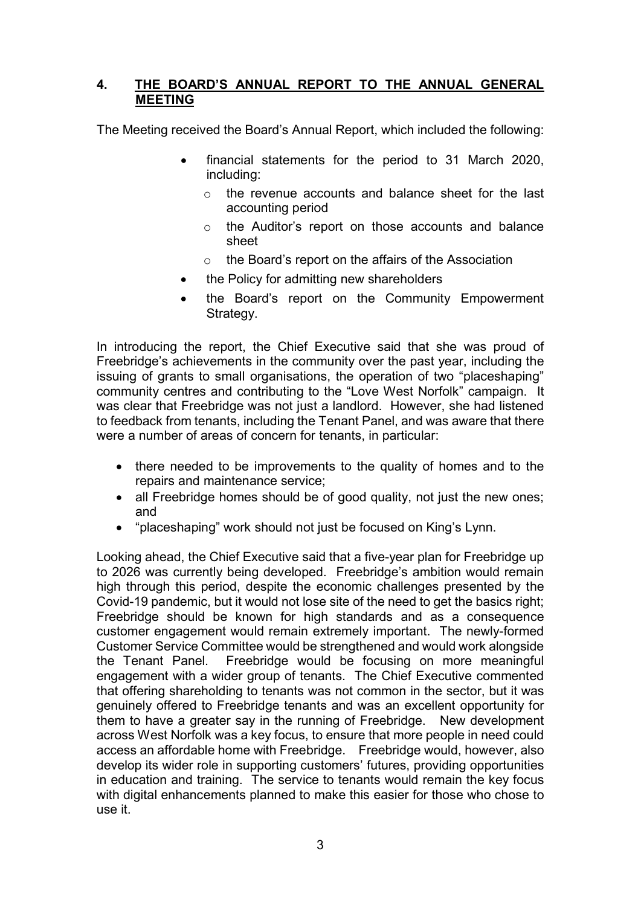## **4. THE BOARD'S ANNUAL REPORT TO THE ANNUAL GENERAL MEETING**

The Meeting received the Board's Annual Report, which included the following:

- financial statements for the period to 31 March 2020, including:
	- o the revenue accounts and balance sheet for the last accounting period
	- o the Auditor's report on those accounts and balance sheet
	- o the Board's report on the affairs of the Association
- the Policy for admitting new shareholders
- the Board's report on the Community Empowerment Strategy.

In introducing the report, the Chief Executive said that she was proud of Freebridge's achievements in the community over the past year, including the issuing of grants to small organisations, the operation of two "placeshaping" community centres and contributing to the "Love West Norfolk" campaign. It was clear that Freebridge was not just a landlord. However, she had listened to feedback from tenants, including the Tenant Panel, and was aware that there were a number of areas of concern for tenants, in particular:

- there needed to be improvements to the quality of homes and to the repairs and maintenance service;
- all Freebridge homes should be of good quality, not just the new ones; and
- "placeshaping" work should not just be focused on King's Lynn.

Looking ahead, the Chief Executive said that a five-year plan for Freebridge up to 2026 was currently being developed. Freebridge's ambition would remain high through this period, despite the economic challenges presented by the Covid-19 pandemic, but it would not lose site of the need to get the basics right; Freebridge should be known for high standards and as a consequence customer engagement would remain extremely important. The newly-formed Customer Service Committee would be strengthened and would work alongside the Tenant Panel. Freebridge would be focusing on more meaningful engagement with a wider group of tenants. The Chief Executive commented that offering shareholding to tenants was not common in the sector, but it was genuinely offered to Freebridge tenants and was an excellent opportunity for them to have a greater say in the running of Freebridge. New development across West Norfolk was a key focus, to ensure that more people in need could access an affordable home with Freebridge. Freebridge would, however, also develop its wider role in supporting customers' futures, providing opportunities in education and training. The service to tenants would remain the key focus with digital enhancements planned to make this easier for those who chose to use it.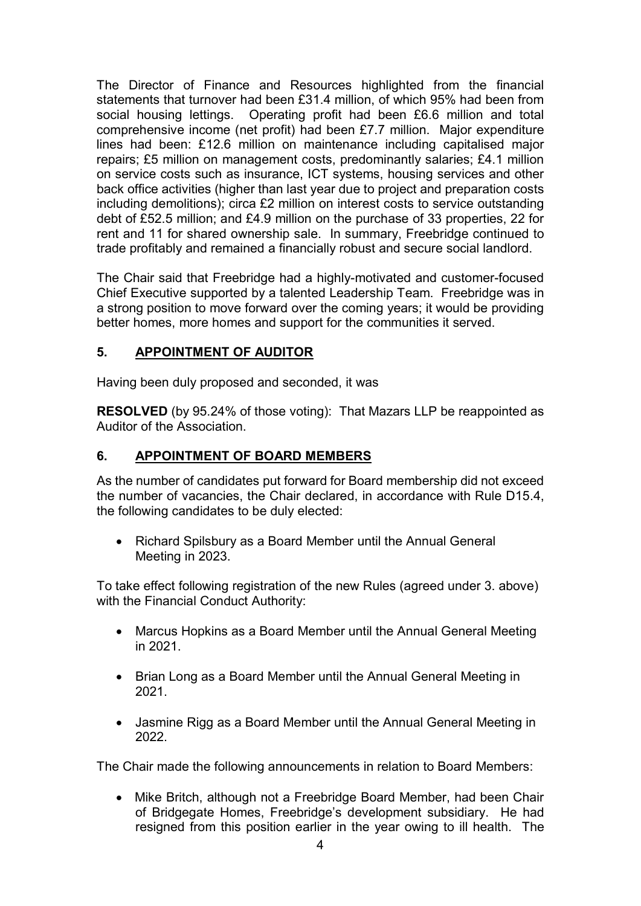The Director of Finance and Resources highlighted from the financial statements that turnover had been £31.4 million, of which 95% had been from social housing lettings. Operating profit had been £6.6 million and total comprehensive income (net profit) had been £7.7 million. Major expenditure lines had been: £12.6 million on maintenance including capitalised major repairs; £5 million on management costs, predominantly salaries; £4.1 million on service costs such as insurance, ICT systems, housing services and other back office activities (higher than last year due to project and preparation costs including demolitions); circa £2 million on interest costs to service outstanding debt of £52.5 million; and £4.9 million on the purchase of 33 properties, 22 for rent and 11 for shared ownership sale. In summary, Freebridge continued to trade profitably and remained a financially robust and secure social landlord.

The Chair said that Freebridge had a highly-motivated and customer-focused Chief Executive supported by a talented Leadership Team. Freebridge was in a strong position to move forward over the coming years; it would be providing better homes, more homes and support for the communities it served.

# **5. APPOINTMENT OF AUDITOR**

Having been duly proposed and seconded, it was

**RESOLVED** (by 95.24% of those voting):That Mazars LLP be reappointed as Auditor of the Association.

## **6. APPOINTMENT OF BOARD MEMBERS**

As the number of candidates put forward for Board membership did not exceed the number of vacancies, the Chair declared, in accordance with Rule D15.4, the following candidates to be duly elected:

• Richard Spilsbury as a Board Member until the Annual General Meeting in 2023.

To take effect following registration of the new Rules (agreed under 3. above) with the Financial Conduct Authority:

- Marcus Hopkins as a Board Member until the Annual General Meeting in 2021.
- Brian Long as a Board Member until the Annual General Meeting in 2021.
- Jasmine Rigg as a Board Member until the Annual General Meeting in 2022.

The Chair made the following announcements in relation to Board Members:

• Mike Britch, although not a Freebridge Board Member, had been Chair of Bridgegate Homes, Freebridge's development subsidiary. He had resigned from this position earlier in the year owing to ill health. The